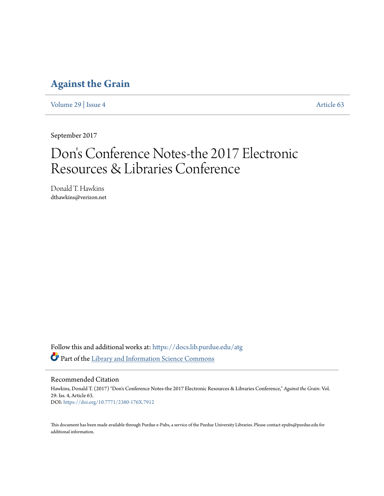# **[Against the Grain](https://docs.lib.purdue.edu/atg?utm_source=docs.lib.purdue.edu%2Fatg%2Fvol29%2Fiss4%2F63&utm_medium=PDF&utm_campaign=PDFCoverPages)**

[Volume 29](https://docs.lib.purdue.edu/atg/vol29?utm_source=docs.lib.purdue.edu%2Fatg%2Fvol29%2Fiss4%2F63&utm_medium=PDF&utm_campaign=PDFCoverPages) | [Issue 4](https://docs.lib.purdue.edu/atg/vol29/iss4?utm_source=docs.lib.purdue.edu%2Fatg%2Fvol29%2Fiss4%2F63&utm_medium=PDF&utm_campaign=PDFCoverPages) [Article 63](https://docs.lib.purdue.edu/atg/vol29/iss4/63?utm_source=docs.lib.purdue.edu%2Fatg%2Fvol29%2Fiss4%2F63&utm_medium=PDF&utm_campaign=PDFCoverPages)

September 2017

# Don 's Conference Notes-the 2017 Electronic Resources & Libraries Conference

Donald T. Hawkins dthawkins@verizon.net

Follow this and additional works at: [https://docs.lib.purdue.edu/atg](https://docs.lib.purdue.edu/atg?utm_source=docs.lib.purdue.edu%2Fatg%2Fvol29%2Fiss4%2F63&utm_medium=PDF&utm_campaign=PDFCoverPages) Part of the [Library and Information Science Commons](http://network.bepress.com/hgg/discipline/1018?utm_source=docs.lib.purdue.edu%2Fatg%2Fvol29%2Fiss4%2F63&utm_medium=PDF&utm_campaign=PDFCoverPages)

Recommended Citation

Hawkins, Donald T. (2017) "Don's Conference Notes-the 2017 Electronic Resources & Libraries Conference," *Against the Grain*: Vol. 29: Iss. 4, Article 63. DOI: <https://doi.org/10.7771/2380-176X.7912>

This document has been made available through Purdue e-Pubs, a service of the Purdue University Libraries. Please contact epubs@purdue.edu for additional information.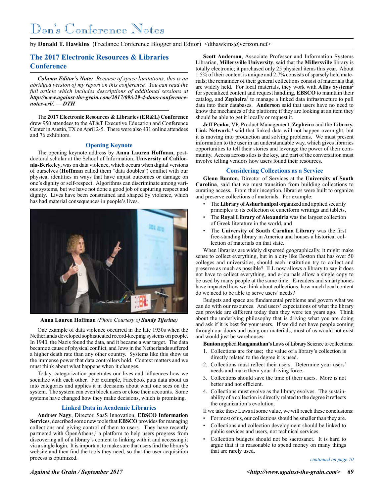by **Donald T. Hawkins** (Freelance Conference Blogger and Editor) <dthawkins@verizon.net>

# **The 2017 Electronic Resources & Libraries Conference**

*Column Editor's Note: Because of space limitations, this is an abridged version of my report on this conference. You can read the full article which includes descriptions of additional sessions at http://www.against-the-grain.com/2017/09/v29-4-dons-conferencenotes-erl/. — DTH*

The **2017 Electronic Resources & Libraries (ER&L) Conference** drew 950 attendees to the AT&T Executive Education and Conference Center in Austin, TX on April 2-5. There were also 431 online attendees and 76 exhibitors.

#### **Opening Keynote**

The opening keynote address by **Anna Lauren Hoffman**, postdoctoral scholar at the School of Information, **University of California-Berkeley**, was on data violence, which occurs when digital versions of ourselves (**Hoffman** called them "data doubles") conflict with our physical identities in ways that have unjust outcomes or damage on one's dignity or self-respect. Algorithms can discriminate among various systems, but we have not done a good job of capturing respect and dignity. Lives have been constrained and shaped by violence, which has had material consequences in people's lives.



**Anna Lauren Hoffman** *(Photo Courtesy of Sandy Tijerina)*

One example of data violence occurred in the late 1930s when the Netherlands developed sophisticated record-keeping systems on people. In 1940, the Nazis found the data, and it became a war target. The data became a cause of physical conflict, and Jews in the Netherlands suffered a higher death rate than any other country. Systems like this show us the immense power that data controllers hold. Context matters and we must think about what happens when it changes.

Today, categorization penetrates our lives and influences how we socialize with each other. For example, Facebook puts data about us into categories and applies it in decisions about what one sees on the system. The system can even block users or close their accounts. Some systems have changed how they make decisions, which is promising.

#### **Linked Data in Academic Libraries**

**Andrew Nagy**, Director, SaaS Innovation, **EBSCO Information Services**, described some new tools that **EBSCO** provides for managing collections and giving control of them to users. They have recently partnered with OpenAthens,<sup>1</sup> a platform to help users progress from discovering all of a library's content to linking with it and accessing it via a single login. It is important to make sure that users find the library's website and then find the tools they need, so that the user acquisition process is optimized.

**Scott Anderson**, Associate Professor and Information Systems Librarian, **Millersville University**, said that the **Millersville** library is totally electronic; it purchased only 25 physical items this year. About 1.5% of their content is unique and 2.7% consists of sparsely held materials; the remainder of their general collections consist of materials that are widely held. For local materials, they work with **Atlas Systems**<sup>2</sup> for specialized content and request handling, **EBSCO** to maintain their catalog, and **Zepheira**<sup>3</sup> to manage a linked data infrastructure to pull data into their databases. **Anderson** said that users have no need to know the mechanics of the platform; if they are looking at an item they should be able to get it locally or request it.

**Jeff Penka**, VP, Product Management, **Zepheira** and the **Library.** Link Network,<sup>4</sup> said that linked data will not happen overnight, but it is moving into production and solving problems. We must present information to the user in an understandable way, which gives libraries opportunities to tell their stories and leverage the power of their community. Access across silos is the key, and part of the conversation must involve telling vendors how users found their resources.

#### **Considering Collections as a Service**

**Glenn Bunton**, Director of Services at the **University of South Carolina**, said that we must transition from building collections to curating access. From their inception, libraries were built to organize and preserve collections of materials. For example:

- The **Library of Ashurbanipal** organized and applied security principles to its collection of cuneiform writings and tablets,
- The **Royal Library of Alexandria** was the largest collection of Greek literature in the world, and
- The **University of South Carolina Library** was the first free-standing library in America and houses a historical collection of materials on that state.

When libraries are widely dispersed geographically, it might make sense to collect everything, but in a city like Boston that has over 50 colleges and universities, should each institution try to collect and preserve as much as possible? ILL now allows a library to say it does not have to collect everything, and e-journals allow a single copy to be used by many people at the same time. E-readers and smartphones have impacted how we think about collections; how much local content do we need to be able to serve users' needs?

Budgets and space are fundamental problems and govern what we can do with our resources. And users' expectations of what the library can provide are different today than they were ten years ago. Think about the underlying philosophy that is driving what you are doing and ask if it is best for your users. If we did not have people coming through our doors and using our materials, most of us would not exist and would just be warehouses.

**Bunton** applied **Ranganathan's** Laws of Library Science to collections:

- 1. Collections are for use; the value of a library's collection is directly related to the degree it is used.
- 2. Collections must reflect their users. Determine your users' needs and make them your driving force.
- 3. Collections should save the time of their users. More is not better and not efficient.
- 4. Collections must evolve as the library evolves. The sustainability of a collection is directly related to the degree it reflects the organization's evolution.
- If we take these Laws at some value, we will reach these conclusions:
- For most of us, our collections should be smaller than they are.
- Collections and collection development should be linked to public services and users, not technical services.
- Collection budgets should not be sacrosanct. It is hard to argue that it is reasonable to spend money on many things that are rarely used.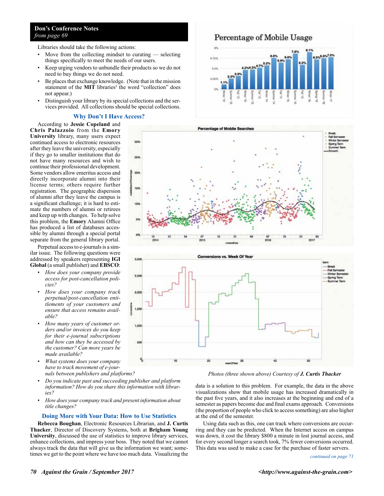# **Don's Conference Notes** *from page 69*

Libraries should take the following actions:

- Move from the collecting mindset to curating  $-$  selecting things specifically to meet the needs of our users.
- Keep urging vendors to unbundle their products so we do not need to buy things we do not need.
- Be places that exchange knowledge. (Note that in the mission statement of the **MIT** libraries<sup>5</sup> the word "collection" does not appear.)
- Distinguish your library by its special collections and the services provided. All collections should be special collections.

### **Why Don't I Have Access?**

According to **Jessie Copeland** and **Chris Palazzoio** from the **Emory University** library, many users expect continued access to electronic resources after they leave the university, especially if they go to smaller institutions that do not have many resources and wish to continue their professional development. Some vendors allow emeritus access and directly incorporate alumni into their license terms; others require further registration. The geographic dispersion of alumni after they leave the campus is a significant challenge; it is hard to estimate the numbers of alumni or retirees and keep up with changes. To help solve this problem, the **Emory** Alumni Office has produced a list of databases accessible by alumni through a special portal separate from the general library portal.

Perpetual access to e-journals is a similar issue. The following questions were addressed by speakers representing **IGI Global** (a small publisher) and **EBSCO**:

- *How does your company provide access for post-cancellation policies?*
- *How does your company track perpetual/post-cancellation entitlements of your customers and ensure that access remains available?*
- *How many years of customer orders and/or invoices do you keep for their e-journal subscriptions and how can they be accessed by the customer? Can more years be made available?*
- *What systems does your company have to track movement of e-journals between publishers and platforms?*
- *Do you indicate past and succeeding publisher and platform information? How do you share this information with libraries?*
- *How does your company track and present information about title changes?*

#### **Doing More with Your Data: How to Use Statistics**

**Rebecca Boughan**, Electronic Resources Librarian, and **J. Curtis Thacker**, Director of Discovery Systems, both at **Brigham Young University**, discussed the use of statistics to improve library services, enhance collections, and impress your boss. They noted that we cannot always track the data that will give us the information we want; sometimes we get to the point where we have too much data. Visualizing the

Percentage of Mobile Usage







*Photos (three shown above) Courtesy of J. Curtis Thacker*

data is a solution to this problem. For example, the data in the above visualizations show that mobile usage has increased dramatically in the past five years, and it also increases at the beginning and end of a semester as papers become due and final exams approach. Conversions (the proportion of people who click to access something) are also higher at the end of the semester.

Using data such as this, one can track where conversions are occurring and they can be predicted. When the Internet access on campus was down, it cost the library \$800 a minute in lost journal access, and for every second longer a search took, 7% fewer conversions occurred. This data was used to make a case for the purchase of faster servers.

#### *continued on page 71*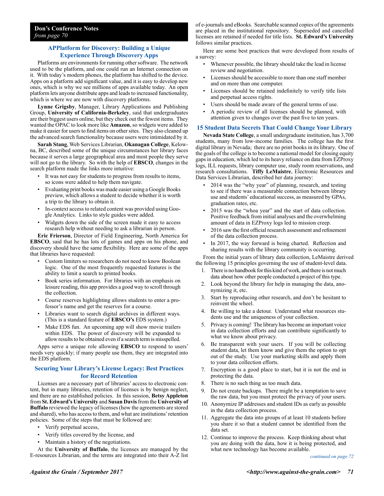# **APPlatform for Discovery: Building a Unique Experience Through Discovery Apps**

Platforms are environments for running other software. The network used to be the platform, and one could run an Internet connection on it. With today's modern phones, the platform has shifted to the device. Apps on a platform add significant value, and it is easy to develop new ones, which is why we see millions of apps available today. An open platform lets anyone distribute apps and leads to increased functionality, which is where we are now with discovery platforms.

**Lynne Grigsby**, Manager, Library Applications and Publishing Group, **University of California-Berkeley**, said that undergraduates are their biggest users online, but they check out the fewest items. They wanted the OPAC to look more like **Amazon**, so widgets were added to make it easier for users to find items on other sites. They also cleaned up the advanced search functionality because users were intimidated by it.

**Sarah Stang**, Web Services Librarian, **Okanagan College**, Kelowna, BC, described some of the unique circumstances her library faces because it serves a large geographical area and most people they serve will not go to the library. So with the help of **EBSCO**, changes in the search platform made the links more intuitive:

- It was not easy for students to progress from results to items, so icons were added to help them navigate.
- Evaluating print books was made easier using a Google Books preview, which allows a student to decide whether it is worth a trip to the library to obtain it.
- In-context access to related content was provided using Google Analytics. Links to style guides were added.
- Widgets down the side of the screen made it easy to access research help without needing to ask a librarian in person.

**Eric Frierson**, Director of Field Engineering, North America for **EBSCO**, said that he has lots of games and apps on his phone, and discovery should have the same flexibility. Here are some of the apps that libraries have requested:

- Custom limiters so researchers do not need to know Boolean logic. One of the most frequently requested features is the ability to limit a search to printed books.
- Book series information. For libraries with an emphasis on leisure reading, this app provides a good way to scroll through the collection.
- Course reserves highlighting allows students to enter a professor's name and get the reserves for a course.
- Libraries want to search digital archives in different ways. (This is a standard feature of **EBSCO's** EDS system.)
- Make EDS fun. An upcoming app will show movie trailers within EDS. The power of discovery will be expanded to allow results to be obtained even if a search term is misspelled.

Apps serve a unique role allowing **EBSCO** to respond to users' needs very quickly; if many people use them, they are integrated into the EDS platform.

# **Securing Your Library's License Legacy: Best Practices for Record Retention**

Licenses are a necessary part of libraries' access to electronic content, but in many libraries, retention of licenses is by benign neglect, and there are no established policies. In this session, **Betsy Appleton** from **St. Edward's University** and **Susan Davis** from the **University of Buffalo** reviewed the legacy of licenses (how the agreements are stored and shared), who has access to them, and what are institutions' retention policies. Some of the steps that must be followed are:

- Verify perpetual access,
- Verify titles covered by the license, and
- Maintain a history of the negotiations.

At the **University of Buffalo**, the licenses are managed by the E-resources Librarian, and the terms are integrated into their A-Z list of e-journals and eBooks. Searchable scanned copies of the agreements are placed in the institutional repository. Superseded and cancelled licenses are retained if needed for title lists. **St. Edward's University**  follows similar practices.

Here are some best practices that were developed from results of a survey:

- Whenever possible, the library should take the lead in license review and negotiation.
- Licenses should be accessible to more than one staff member and on more than one computer.
- Licenses should be retained indefinitely to verify title lists and perpetual access rights.
- Users should be made aware of the general terms of use.
- A periodic review of all licenses should be planned, with attention given to changes over the past five to ten years.

### **15 Student Data Secrets That Could Change Your Library**

**Nevada State College**, a small undergraduate institution, has 3,700 students, many from low-income families. The college has the first digital library in Nevada; there are no print books in its library. One of the goals of the college is to become a national model for closing equity gaps in education, which led to its heavy reliance on data from EZProxy logs, ILL requests, library computer use, study room reservations, and research consultations. **Tiffy LeMaistre**, Electronic Resources and Data Services Librarian, described her data journey:

- 2014 was the "why year" of planning, research, and testing to see if there was a measurable connection between library use and students' educational success, as measured by GPAs, graduation rates, etc.
- 2015 was the "whoa year" and the start of data collection. Positive feedback from initial analyses and the overwhelming amount of data in EZProxy logs led to mission creep.
- 2016 saw the first official research assessment and refinement of the data collection process.
- In 2017, the way forward is being charted. Reflection and sharing results with the library community is occurring.

From the initial years of library data collection, LeMaistre derived the following 15 principles governing the use of student-level data.

- 1. There is no handbook for this kind of work, and there is not much data about how other people conducted a project of this type.
- 2. Look beyond the library for help in managing the data, anonymizing it, etc.
- 3. Start by reproducing other research, and don't be hesitant to reinvent the wheel.
- 4. Be willing to take a detour. Understand what resources students use and the uniqueness of your collection.
- 5. Privacy is coming! The library has become an important voice in data collection efforts and can contribute significantly to what we know about privacy.
- 6. Be transparent with your users. If you will be collecting student data, let them know and give them the option to opt out of the study. Use your marketing skills and apply them to your data collection efforts.
- 7. Encryption is a good place to start, but it is not the end in protecting the data.
- 8. There is no such thing as too much data.
- 9. Do not create backups. There might be a temptation to save the raw data, but you must protect the privacy of your users.
- 10. Anonymize IP addresses and student IDs as early as possible in the data collection process.
- 11. Aggregate the data into groups of at least 10 students before you share it so that a student cannot be identified from the data set.
- 12. Continue to improve the process. Keep thinking about what you are doing with the data, how it is being protected, and what new technology has become available.

*continued on page 72*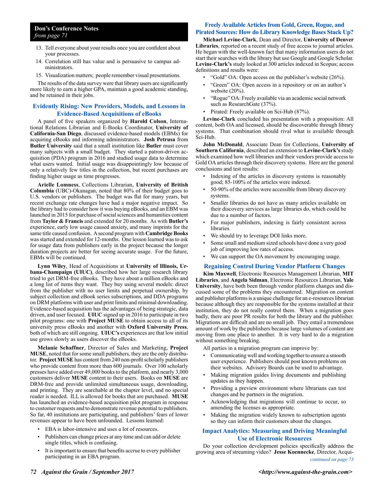- 13. Tell everyone about your results once you are confident about your processes.
- 14. Correlation still has value and is persuasive to campus administrators.
- 15. Visualization matters; people remember visual presentations.

The results of the data survey were that library users are significantly more likely to earn a higher GPA, maintain a good academic standing, and be retained in their jobs.

#### **Evidently Rising: New Providers, Models, and Lessons in Evidence-Based Acquisitions of eBooks**

A panel of five speakers organized by **Harold Colson**, International Relations Librarian and E-Books Coordinator, **University of California-San Diego**, discussed evidence-based models (EBMs) for acquiring eBooks and informing administrators. **Josh Petrusa** from **Butler University** said that a small institution like **Butler** must cover many subjects with a small budget. They started a patron-driven acquisition (PDA) program in 2016 and studied usage data to determine what users wanted. Initial usage was disappointingly low because of only a relatively few titles in the collection, but recent purchases are finding higher usage as time progresses.

**Arielle Lomness**, Collections Librarian, **University of British Columbia** (UBC)-Okanagan, noted that 80% of their budget goes to U.S. vendors or publishers. The budget was flat for many years, but recent exchange rate changes have had a major negative impact. So the library had to consider how it was buying eBooks, and an EBM was launched in 2015 for purchase of social sciences and humanities content from **Taylor & Francis** and extended for 20 months. As with **Butler's** experience, early low usage caused anxiety, and many imprints for the same title caused confusion. A second program with **Cambridge Books**  was started and extended for 12-months. One lesson learned was to ask for usage data from publishers early in the project because the longer duration projects are better for seeing accurate usage. For the future, EBMs will be continued.

**Lynn Wiley**, Head of Acquisitions at **University of Illinois, Urbana-Champaign (UIUC)**, described how her large research library tried to get DRM-free eBooks. They have about a million eBooks and a long list of items they want. They buy using several models: direct from the publisher with no user limits and perpetual ownership, by subject collection and eBook series subscriptions, and DDA programs on DRM platforms with user and print limits and minimal downloading. Evidence-based acquisition has the advantages of being strategic, data driven, and user focused. **UIUC** signed up in 2016 to participate in two pilot programs: one with **Project MUSE** to obtain access to all of its university press eBooks and another with **Oxford University Press**, both of which are still ongoing. **UIUC's** experiences are that low initial use grows slowly as users discover the eBooks.

**Melanie Schaffner**, Director of Sales and Marketing, **Project MUSE**, noted that for some small publishers, they are the only distributor. **Project MUSE** has content from 240 non-profit scholarly publishers who provide content from more than 600 journals. Over 100 scholarly presses have added over 49,000 books to the platform, and nearly 3,000 customers deliver **MUSE** content to their users. Books on **MUSE** are DRM-free and provide unlimited simultaneous usage, downloading, and printing. They are searchable at the chapter level, and no special reader is needed. ILL is allowed for books that are purchased. **MUSE** has launched an evidence-based acquisition pilot program in response to customer requests and to demonstrate revenue potential to publishers. So far, 40 institutions are participating, and publishers' fears of lower revenues appear to have been unfounded. Lessons learned:

- EBA is labor-intensive and uses a lot of resources.
- Publishers can change prices at any time and can add or delete single titles, which is confusing.
- It is important to ensure that benefits accrue to every publisher participating in an EBA program.

# **Freely Available Articles from Gold, Green, Rogue, and**

# **Pirated Sources: How do Library Knowledge Bases Stack Up?**

**Michael Levine-Clark**, Dean and Director, **University of Denver Libraries**, reported on a recent study of free access to journal articles. He began with the well-known fact that many information users do not start their searches with the library but use Google and Google Scholar. **Levine-Clark's** study looked at 300 articles indexed in Scopus; access definitions and results were:

- "Gold" OA: Open access on the publisher's website (26%).
- "Green" OA: Open access in a repository or on an author's website (20%).
- "Rogue" OA: Freely available via an academic social network such as ResearchGate (37%).
- Pirated: Freely available on Sci-Hub (87%).

**Levine-Clark** concluded his presentation with a proposition: All content, both OA and licensed, should be discoverable through library systems. That combination should rival what is available through Sci-Hub.

**John McDonald**, Associate Dean for Collections, **University of Southern California**, described an extension to **Levine-Clark's** study which examined how well libraries and their vendors provide access to Gold OA articles through their discovery systems. Here are the general conclusions and test results:

- Indexing of the articles in discovery systems is reasonably good; 85-100% of the articles were indexed.
- 50-90% of the articles were accessible from library discovery systems.
- Smaller libraries do not have as many articles available on their discovery services as large libraries do, which could be due to a number of factors.
- For major publishers, indexing is fairly consistent across libraries.
- We should try to leverage DOI links more.
- Some small and medium sized schools have done a very good job of improving low rates of access.
- We can support the OA movement by encouraging usage.

#### **Regaining Control During Vendor Platform Changes**

**Kim Maxwell**, Electronic Resources Management Librarian, **MIT Libraries**, and **Angela Sidman**, Electronic Resources Librarian, **Yale University**, have both been through vendor platform changes and discussed some of the problems they encountered. Migration on content and publisher platforms is a unique challenge for an e-resources librarian because although they are responsible for the systems installed at their institution, they do not really control them. When a migration goes badly, there are poor PR results for both the library and the publisher. Migrations are difficult and are no small job. They entail a tremendous amount of work by the publishers because large volumes of content are moving from one place to another. It is very hard to do a migration without something breaking.

All parties in a migration program can improve by:

- Communicating well and working together to ensure a smooth user experience. Publishers should post known problems on their websites. Advisory Boards can be used to advantage.
- Making migration guides living documents and publishing updates as they happen.
- Providing a preview environment where librarians can test changes and be partners in the migration.
- Acknowledging that migrations will continue to occur, so amending the licenses as appropriate.
- Making the migration widely known to subscription agents so they can inform their customers about the changes.

#### **Impact Analytics: Measuring and Driving Meaningful Use of Electronic Resources**

Do your collection development policies specifically address the growing area of streaming video? **Jesse Koennecke**, Director, Acqui*continued on page 73*